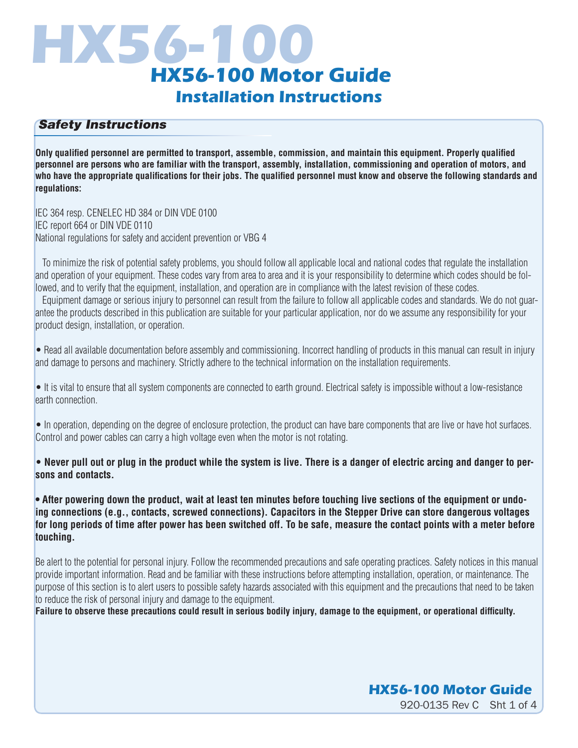# **HX56-100 HX56-100 Motor Guide Installation Instructions**

#### *Safety Instructions*

**Only qualified personnel are permitted to transport, assemble, commission, and maintain this equipment. Properly qualified personnel are persons who are familiar with the transport, assembly, installation, commissioning and operation of motors, and who have the appropriate qualifications for their jobs. The qualified personnel must know and observe the following standards and regulations:**

IEC 364 resp. CENELEC HD 384 or DIN VDE 0100 IEC report 664 or DIN VDE 0110 National regulations for safety and accident prevention or VBG 4

 To minimize the risk of potential safety problems, you should follow all applicable local and national codes that regulate the installation and operation of your equipment. These codes vary from area to area and it is your responsibility to determine which codes should be followed, and to verify that the equipment, installation, and operation are in compliance with the latest revision of these codes.

 Equipment damage or serious injury to personnel can result from the failure to follow all applicable codes and standards. We do not guarantee the products described in this publication are suitable for your particular application, nor do we assume any responsibility for your product design, installation, or operation.

• Read all available documentation before assembly and commissioning. Incorrect handling of products in this manual can result in injury and damage to persons and machinery. Strictly adhere to the technical information on the installation requirements.

• It is vital to ensure that all system components are connected to earth ground. Electrical safety is impossible without a low-resistance earth connection.

• In operation, depending on the degree of enclosure protection, the product can have bare components that are live or have hot surfaces. Control and power cables can carry a high voltage even when the motor is not rotating.

• **Never pull out or plug in the product while the system is live. There is a danger of electric arcing and danger to persons and contacts.**

**• After powering down the product, wait at least ten minutes before touching live sections of the equipment or undoing connections (e.g., contacts, screwed connections). Capacitors in the Stepper Drive can store dangerous voltages for long periods of time after power has been switched off. To be safe, measure the contact points with a meter before touching.**

Be alert to the potential for personal injury. Follow the recommended precautions and safe operating practices. Safety notices in this manual provide important information. Read and be familiar with these instructions before attempting installation, operation, or maintenance. The purpose of this section is to alert users to possible safety hazards associated with this equipment and the precautions that need to be taken to reduce the risk of personal injury and damage to the equipment.

**Failure to observe these precautions could result in serious bodily injury, damage to the equipment, or operational difficulty.**

# 920-0135 Rev C Sht 1 of 4 **HX56-100 Motor Guide**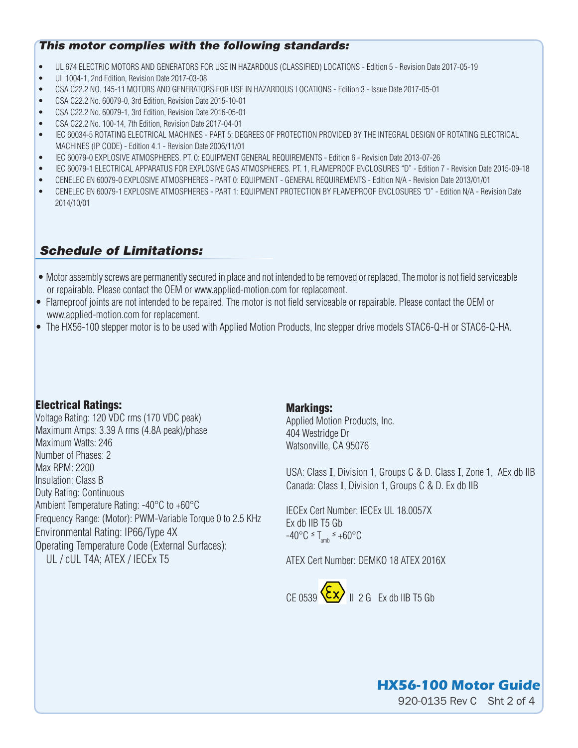#### *This motor complies with the following standards:*

- UL 674 ELECTRIC MOTORS AND GENERATORS FOR USE IN HAZARDOUS (CLASSIFIED) LOCATIONS Edition 5 Revision Date 2017-05-19
- UL 1004-1, 2nd Edition, Revision Date 2017-03-08
- CSA C22.2 NO. 145-11 MOTORS AND GENERATORS FOR USE IN HAZARDOUS LOCATIONS Edition 3 Issue Date 2017-05-01
- CSA C22.2 No. 60079-0, 3rd Edition, Revision Date 2015-10-01
- CSA C22.2 No. 60079-1, 3rd Edition, Revision Date 2016-05-01
- CSA C22.2 No. 100-14, 7th Edition, Revision Date 2017-04-01
- IEC 60034-5 ROTATING ELECTRICAL MACHINES PART 5: DEGREES OF PROTECTION PROVIDED BY THE INTEGRAL DESIGN OF ROTATING ELECTRICAL MACHINES (IP CODE) - Edition 4.1 - Revision Date 2006/11/01
- IEC 60079-0 EXPLOSIVE ATMOSPHERES. PT. 0: EQUIPMENT GENERAL REQUIREMENTS Edition 6 Revision Date 2013-07-26
- IEC 60079-1 ELECTRICAL APPARATUS FOR EXPLOSIVE GAS ATMOSPHERES. PT. 1, FLAMEPROOF ENCLOSURES "D" Edition 7 Revision Date 2015-09-18
- CENELEC EN 60079-0 EXPLOSIVE ATMOSPHERES PART 0: EQUIPMENT GENERAL REQUIREMENTS Edition N/A Revision Date 2013/01/01
- CENELEC EN 60079-1 EXPLOSIVE ATMOSPHERES PART 1: EQUIPMENT PROTECTION BY FLAMEPROOF ENCLOSURES "D" Edition N/A Revision Date 2014/10/01

# *Schedule of Limitations:*

- Motor assembly screws are permanently secured in place and not intended to be removed or replaced. The motor is not field serviceable or repairable. Please contact the OEM or www.applied-motion.com for replacement.
- Flameproof joints are not intended to be repaired. The motor is not field serviceable or repairable. Please contact the OEM or www.applied-motion.com for replacement.
- The HX56-100 stepper motor is to be used with Applied Motion Products, Inc stepper drive models STAC6-Q-H or STAC6-Q-HA.

#### Electrical Ratings:

Voltage Rating: 120 VDC rms (170 VDC peak) Maximum Amps: 3.39 A rms (4.8A peak)/phase Maximum Watts: 246 Number of Phases: 2 Max RPM: 2200 Insulation: Class B Duty Rating: Continuous Ambient Temperature Rating: -40°C to +60°C Frequency Range: (Motor): PWM-Variable Torque 0 to 2.5 KHz Environmental Rating: IP66/Type 4X Operating Temperature Code (External Surfaces): UL / cUL T4A; ATEX / IECEx T5

#### Markings:

Applied Motion Products, Inc. 404 Westridge Dr Watsonville, CA 95076

USA: Class I, Division 1, Groups C & D. Class I, Zone 1, AEx db IIB Canada: Class I, Division 1, Groups C & D. Ex db IIB

IECEx Cert Number: IECEx UL 18.0057X Ex db IIB T5 Gb  $-40^{\circ}$ C  $\leq$  T<sub>amb</sub>  $\leq$  +60 $^{\circ}$ C

ATEX Cert Number: DEMKO 18 ATEX 2016X



# **HX56-100 Motor Guide**

920-0135 Rev C Sht 2 of 4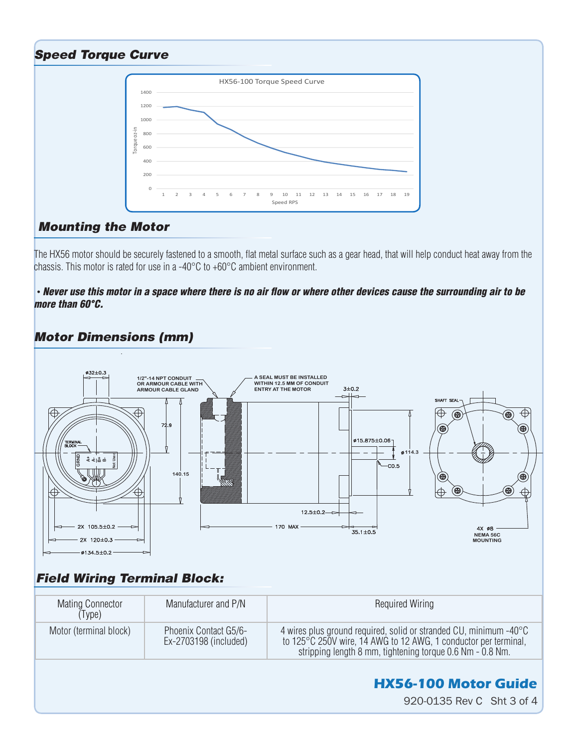## *Speed Torque Curve*



#### *Mounting the Motor*

The HX56 motor should be securely fastened to a smooth, flat metal surface such as a gear head, that will help conduct heat away from the chassis. This motor is rated for use in a -40°C to +60°C ambient environment.

#### *• Never use this motor in a space where there is no air flow or where other devices cause the surrounding air to be more than 60°C.*

## *Motor Dimensions (mm)*



# *Field Wiring Terminal Block:*

| Mating Connector<br>(Type) | Manufacturer and P/N                           | <b>Required Wiring</b>                                                                                                                                                                            |
|----------------------------|------------------------------------------------|---------------------------------------------------------------------------------------------------------------------------------------------------------------------------------------------------|
| Motor (terminal block)     | Phoenix Contact G5/6-<br>Ex-2703198 (included) | 4 wires plus ground required, solid or stranded CU, minimum -40°C<br>to 125°C 250V wire, 14 AWG to 12 AWG, 1 conductor per terminal,<br>stripping length 8 mm, tightening torque 0.6 Nm - 0.8 Nm. |
|                            |                                                | <b>HX56-100 Motor Guide</b><br>920-0135 Rev C Sht 3 of 4                                                                                                                                          |